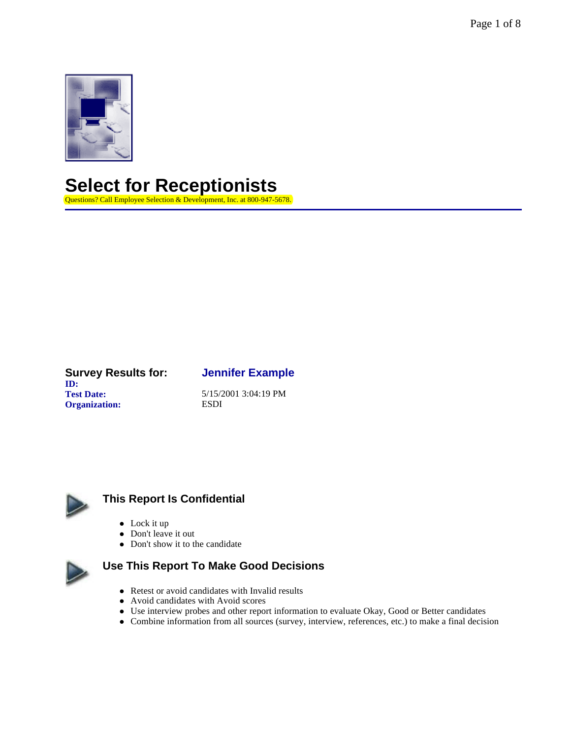Page 1 of 8



**Select for Receptionists** 

Questions? Call Employee Selection & Development, Inc. at 800-947-5678.

#### **Survey Results for: Jennifer Example ID: Test Date:** 5/15/2001 3:04:19 PM **Organization:** ESDI



## **This Report Is Confidential**

- $\bullet$  Lock it up
- $\bullet$  Don't leave it out
- Don't show it to the candidate



# **Use This Report To Make Good Decisions**

- Retest or avoid candidates with Invalid results
- Avoid candidates with Avoid scores
- Use interview probes and other report information to evaluate Okay, Good or Better candidates
- l Combine information from all sources (survey, interview, references, etc.) to make a final decision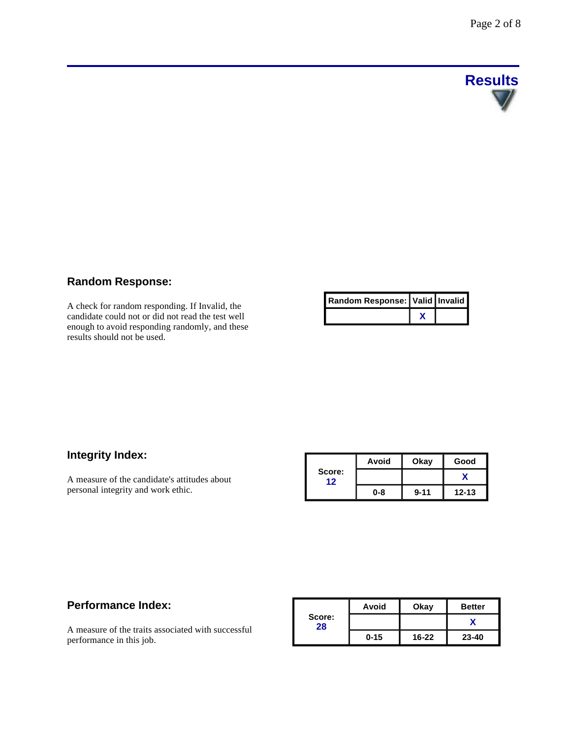

## **Random Response:**

A check for random responding. If Invalid, the candidate could not or did not read the test well enough to avoid responding randomly, and these results should not be used.

| Random Response:   Valid   Invalid |  |
|------------------------------------|--|
|                                    |  |

# **Integrity Index:**

A measure of the candidate's attitudes about personal integrity and work ethic.

|              | Avoid   | Okay     | Good      |
|--------------|---------|----------|-----------|
| Score:<br>12 |         |          |           |
|              | $0 - 8$ | $9 - 11$ | $12 - 13$ |

### **Performance Index:**

A measure of the traits associated with successful performance in this job.

|              | Avoid    | Okay      | <b>Better</b> |
|--------------|----------|-----------|---------------|
| Score:<br>28 |          |           |               |
|              | $0 - 15$ | $16 - 22$ | $23 - 40$     |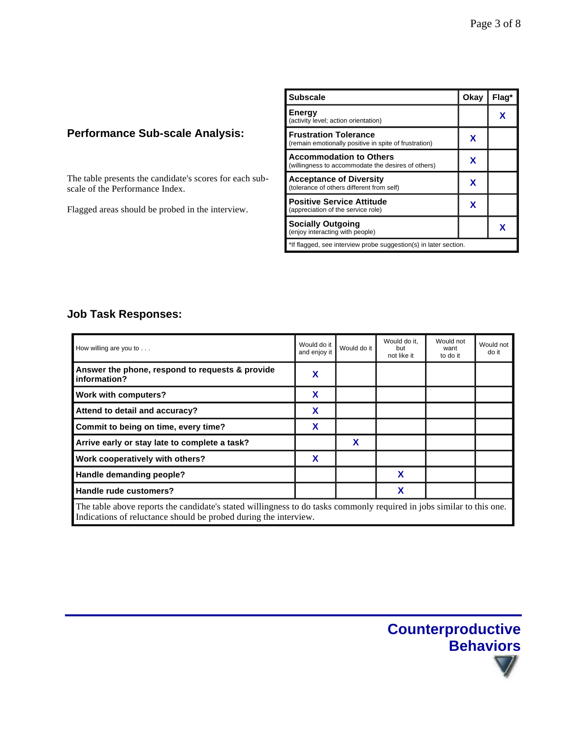# **Performance Sub-scale Analysis:**

The table presents the candidate's scores for each subscale of the Performance Index.

Flagged areas should be probed in the interview.

| <b>Subscale</b>                                                                       | Okay | Flaq* |  |
|---------------------------------------------------------------------------------------|------|-------|--|
| Energy<br>(activity level; action orientation)                                        |      | x     |  |
| <b>Frustration Tolerance</b><br>(remain emotionally positive in spite of frustration) | x    |       |  |
| <b>Accommodation to Others</b><br>(willingness to accommodate the desires of others)  | x    |       |  |
| <b>Acceptance of Diversity</b><br>(tolerance of others different from self)           | x    |       |  |
| <b>Positive Service Attitude</b><br>(appreciation of the service role)                | x    |       |  |
| <b>Socially Outgoing</b><br>(enjoy interacting with people)                           |      |       |  |
| *If flagged, see interview probe suggestion(s) in later section.                      |      |       |  |

## **Job Task Responses:**

| How willing are you to $\dots$                                                                                                                                                            | Would do it<br>and enjoy it | Would do it | Would do it.<br>but<br>not like it | Would not<br>want<br>to do it | Would not<br>do it |
|-------------------------------------------------------------------------------------------------------------------------------------------------------------------------------------------|-----------------------------|-------------|------------------------------------|-------------------------------|--------------------|
| Answer the phone, respond to requests & provide<br>information?                                                                                                                           | х                           |             |                                    |                               |                    |
| Work with computers?                                                                                                                                                                      | X                           |             |                                    |                               |                    |
| Attend to detail and accuracy?                                                                                                                                                            | x                           |             |                                    |                               |                    |
| Commit to being on time, every time?                                                                                                                                                      | X                           |             |                                    |                               |                    |
| Arrive early or stay late to complete a task?                                                                                                                                             |                             | X           |                                    |                               |                    |
| Work cooperatively with others?                                                                                                                                                           | x                           |             |                                    |                               |                    |
| Handle demanding people?                                                                                                                                                                  |                             |             | X                                  |                               |                    |
| Handle rude customers?                                                                                                                                                                    |                             |             | X                                  |                               |                    |
| The table above reports the candidate's stated willingness to do tasks commonly required in jobs similar to this one.<br>Indications of reluctance should be probed during the interview. |                             |             |                                    |                               |                    |

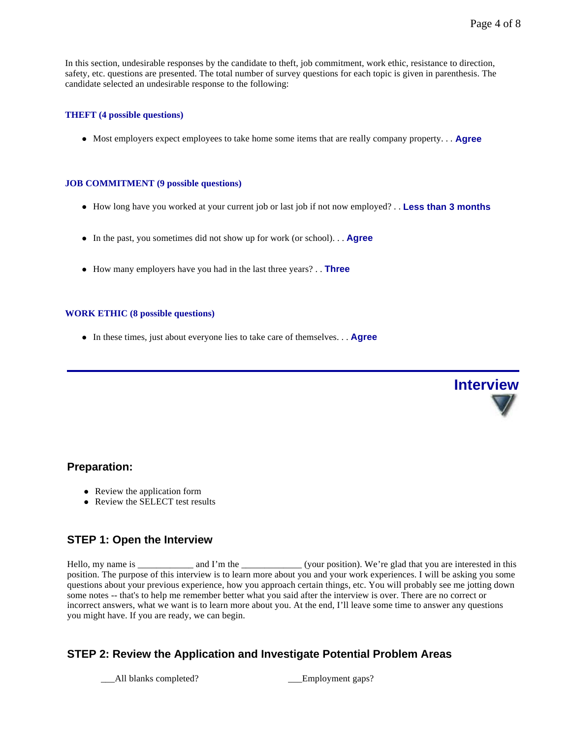**Interview**

In this section, undesirable responses by the candidate to theft, job commitment, work ethic, resistance to direction, safety, etc. questions are presented. The total number of survey questions for each topic is given in parenthesis. The candidate selected an undesirable response to the following:

#### **THEFT (4 possible questions)**

• Most employers expect employees to take home some items that are really company property. . . **Agree** 

#### **JOB COMMITMENT (9 possible questions)**

- How long have you worked at your current job or last job if not now employed? . . Less than 3 months
- In the past, you sometimes did not show up for work (or school). . . **Agree**
- How many employers have you had in the last three years? . . **Three**

#### **WORK ETHIC (8 possible questions)**

• In these times, just about everyone lies to take care of themselves. . . **Agree** 



- Review the application form
- Review the SELECT test results

### **STEP 1: Open the Interview**

Hello, my name is \_\_\_\_\_\_\_\_\_\_\_ and I'm the \_\_\_\_\_\_\_\_\_\_\_\_\_\_(your position). We're glad that you are interested in this position. The purpose of this interview is to learn more about you and your work experiences. I will be asking you some questions about your previous experience, how you approach certain things, etc. You will probably see me jotting down some notes -- that's to help me remember better what you said after the interview is over. There are no correct or incorrect answers, what we want is to learn more about you. At the end, I'll leave some time to answer any questions you might have. If you are ready, we can begin.

## **STEP 2: Review the Application and Investigate Potential Problem Areas**

All blanks completed? Employment gaps?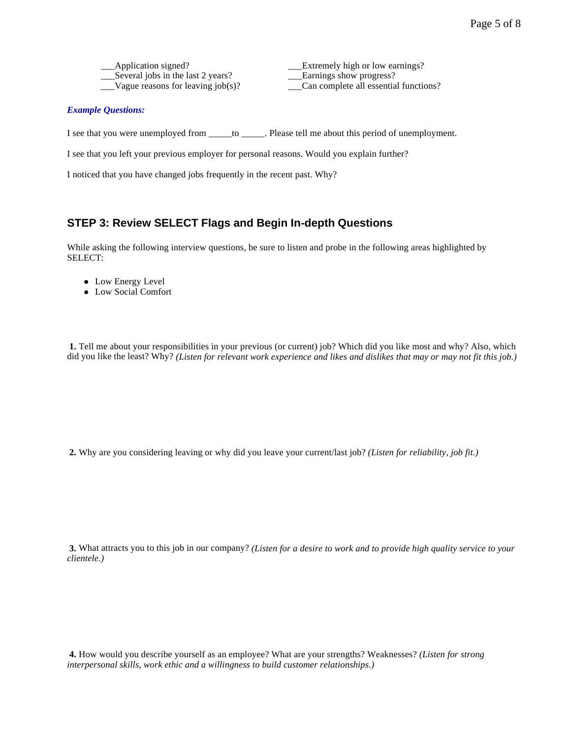| Application signed?                  | Extremely high or low earnings?       |
|--------------------------------------|---------------------------------------|
| Several jobs in the last 2 years?    | Earnings show progress?               |
| Vague reasons for leaving $job(s)$ ? | Can complete all essential functions? |

#### *Example Questions:*

I see that you were unemployed from \_\_\_\_\_to \_\_\_\_\_. Please tell me about this period of unemployment.

I see that you left your previous employer for personal reasons. Would you explain further?

I noticed that you have changed jobs frequently in the recent past. Why?

### **STEP 3: Review SELECT Flags and Begin In-depth Questions**

While asking the following interview questions, be sure to listen and probe in the following areas highlighted by SELECT:

- Low Energy Level
- Low Social Comfort

**1.** Tell me about your responsibilities in your previous (or current) job? Which did you like most and why? Also, which did you like the least? Why? *(Listen for relevant work experience and likes and dislikes that may or may not fit this job.)*

**2.** Why are you considering leaving or why did you leave your current/last job? *(Listen for reliability, job fit.)*

**3.** What attracts you to this job in our company? *(Listen for a desire to work and to provide high quality service to your clientele.)* 

**4.** How would you describe yourself as an employee? What are your strengths? Weaknesses? *(Listen for strong interpersonal skills, work ethic and a willingness to build customer relationships.)*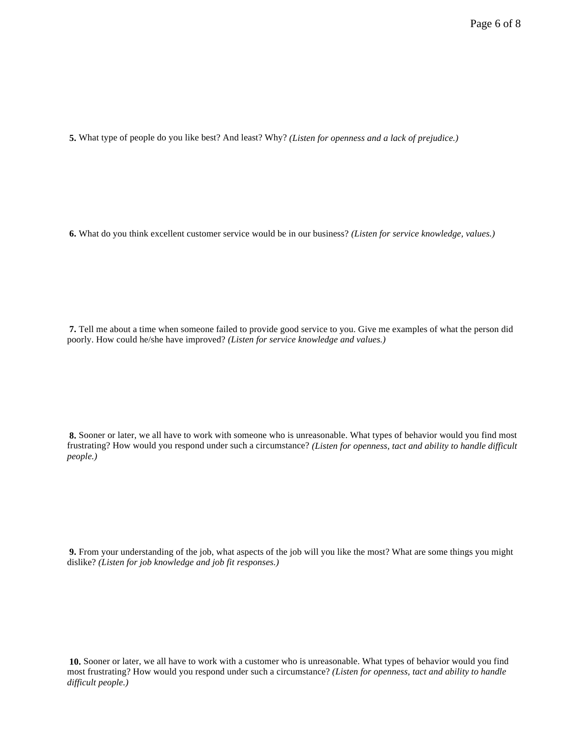**5.** What type of people do you like best? And least? Why? *(Listen for openness and a lack of prejudice.)* 

**6.** What do you think excellent customer service would be in our business? *(Listen for service knowledge, values.)* 

**7.** Tell me about a time when someone failed to provide good service to you. Give me examples of what the person did poorly. How could he/she have improved? *(Listen for service knowledge and values.)* 

**8.** Sooner or later, we all have to work with someone who is unreasonable. What types of behavior would you find most frustrating? How would you respond under such a circumstance? *(Listen for openness, tact and ability to handle difficult people.)*

**9.** From your understanding of the job, what aspects of the job will you like the most? What are some things you might dislike? *(Listen for job knowledge and job fit responses.)*

**10.** Sooner or later, we all have to work with a customer who is unreasonable. What types of behavior would you find most frustrating? How would you respond under such a circumstance? *(Listen for openness, tact and ability to handle difficult people.)*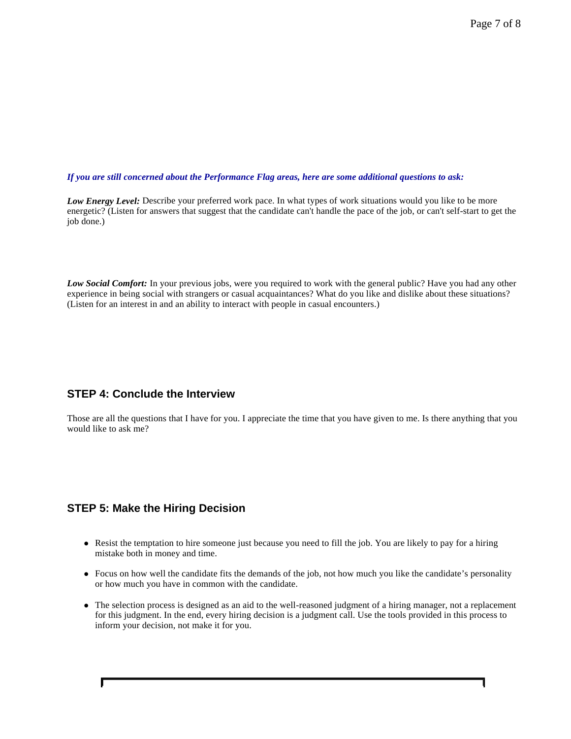1

#### *If you are still concerned about the Performance Flag areas, here are some additional questions to ask:*

*Low Energy Level:* Describe your preferred work pace. In what types of work situations would you like to be more energetic? (Listen for answers that suggest that the candidate can't handle the pace of the job, or can't self-start to get the job done.)

*Low Social Comfort:* In your previous jobs, were you required to work with the general public? Have you had any other experience in being social with strangers or casual acquaintances? What do you like and dislike about these situations? (Listen for an interest in and an ability to interact with people in casual encounters.)

### **STEP 4: Conclude the Interview**

Those are all the questions that I have for you. I appreciate the time that you have given to me. Is there anything that you would like to ask me?

## **STEP 5: Make the Hiring Decision**

Г

- Resist the temptation to hire someone just because you need to fill the job. You are likely to pay for a hiring mistake both in money and time.
- Focus on how well the candidate fits the demands of the job, not how much you like the candidate's personality or how much you have in common with the candidate.
- l The selection process is designed as an aid to the well-reasoned judgment of a hiring manager, not a replacement for this judgment. In the end, every hiring decision is a judgment call. Use the tools provided in this process to inform your decision, not make it for you.